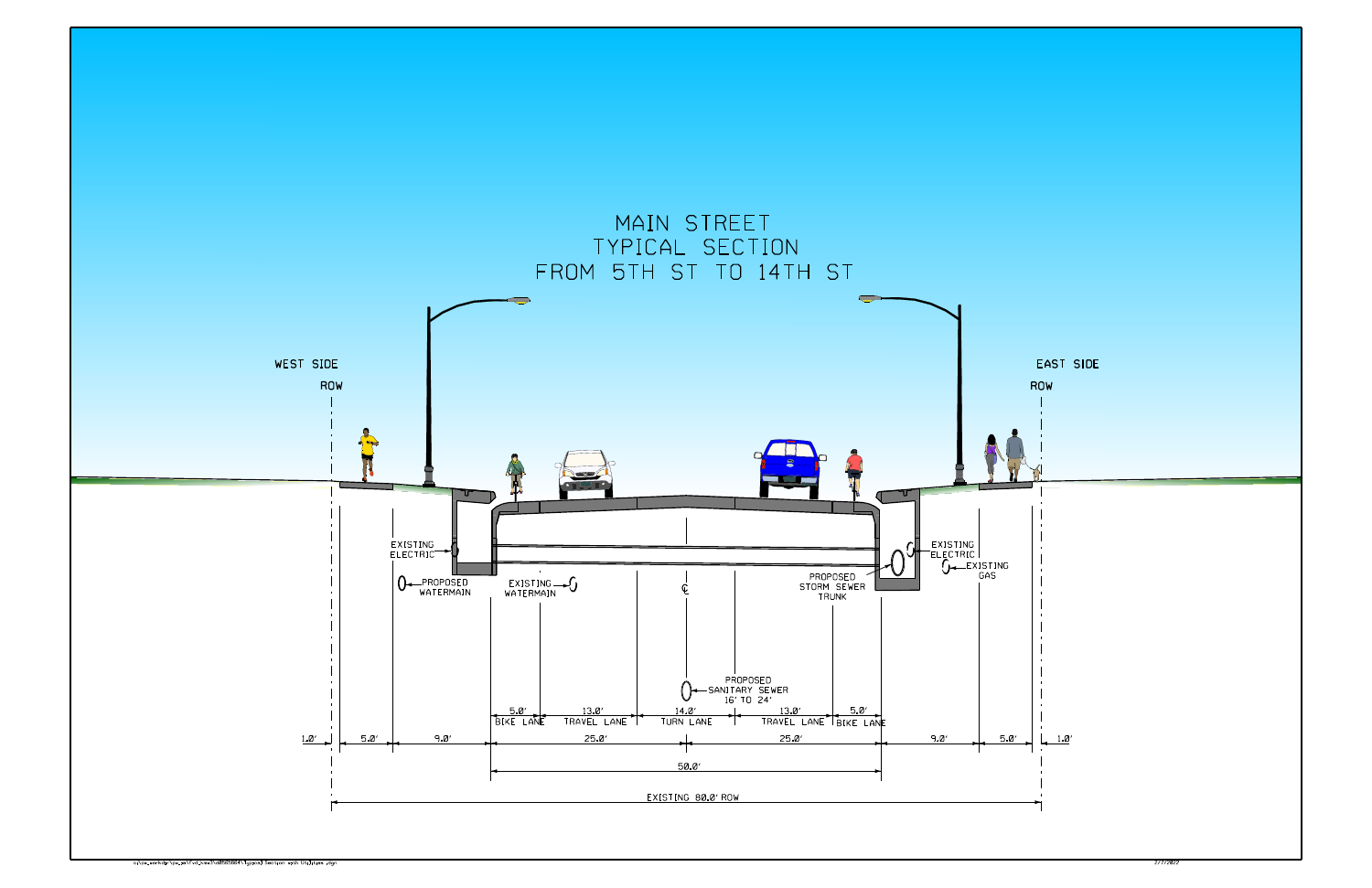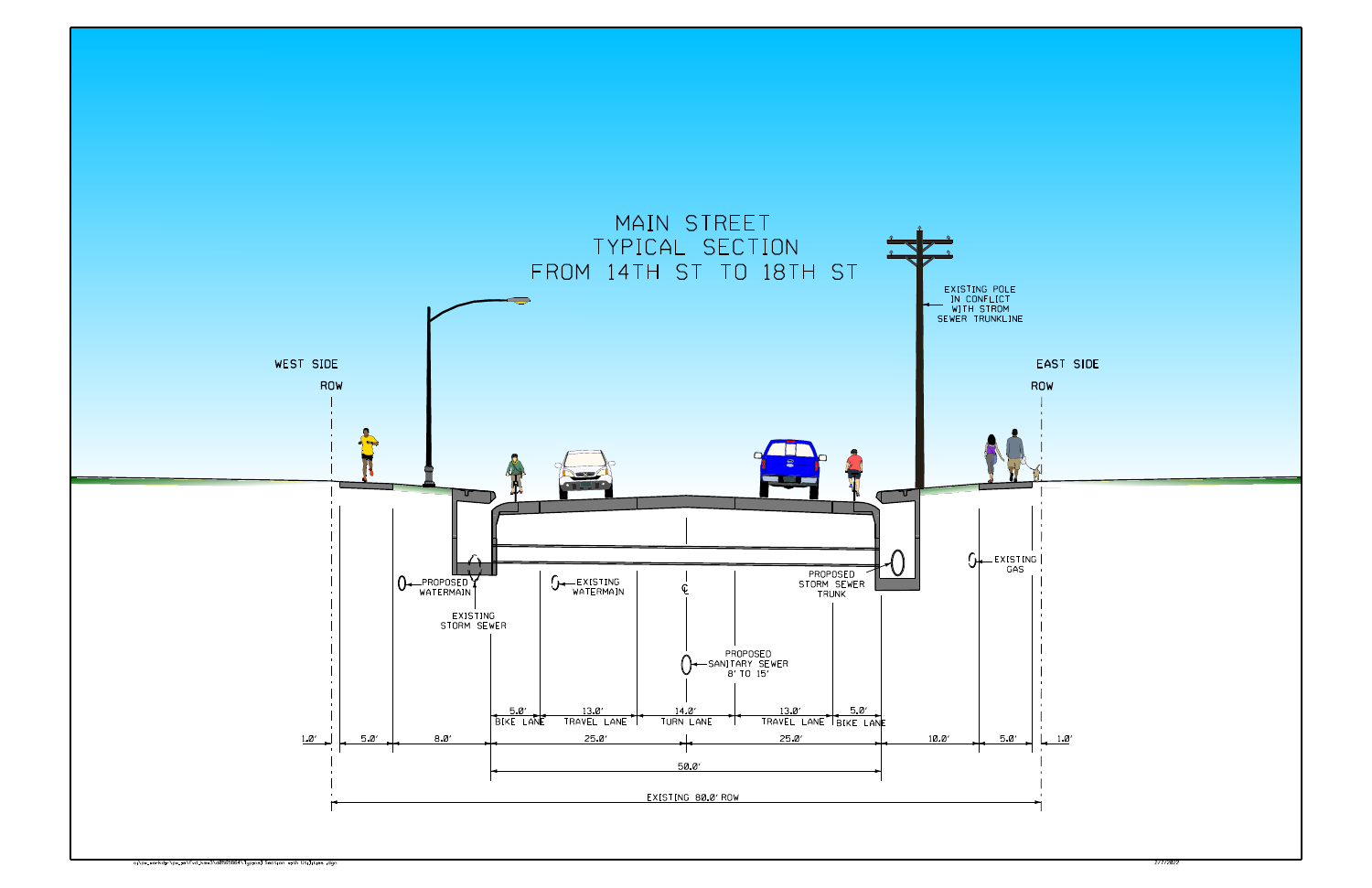![](_page_1_Figure_0.jpeg)